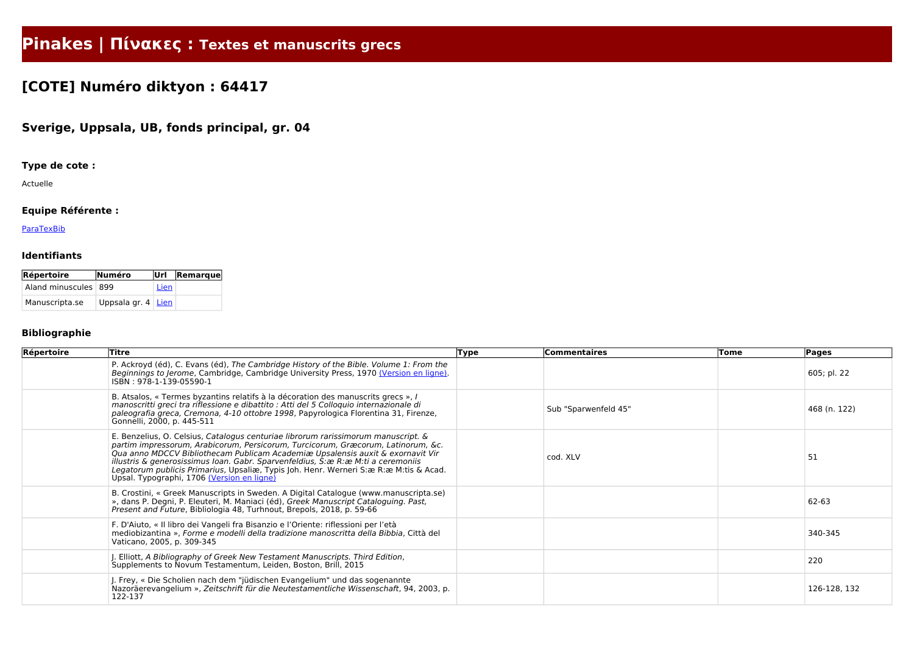# **Pinakes | Πίνακες : Textes et manuscrits grecs**

## **[COTE] Numéro diktyon : 64417**

## **Sverige, Uppsala, UB, fonds principal, gr. 04**

## **Type de cote :**

Actuelle

## **Equipe Référente :**

**[ParaTexBib](http://www.paratexbib.eu)** 

#### **Identifiants**

| Répertoire           | Numéro                    | lUrl | $\vert$ Remarque $\vert$ |
|----------------------|---------------------------|------|--------------------------|
| Aland minuscules 899 |                           | Lien |                          |
| Manuscripta.se       | Uppsala gr. $4 \mid$ Lien |      |                          |

## **Bibliographie**

| Répertoire | <b>Titre</b>                                                                                                                                                                                                                                                                                                                                                                                                                                                                          | <b>Type</b> | <b>Commentaires</b>  | Tome | Pages        |
|------------|---------------------------------------------------------------------------------------------------------------------------------------------------------------------------------------------------------------------------------------------------------------------------------------------------------------------------------------------------------------------------------------------------------------------------------------------------------------------------------------|-------------|----------------------|------|--------------|
|            | P. Ackroyd (éd), C. Evans (éd), The Cambridge History of the Bible. Volume 1: From the<br>Beginnings to Jerome, Cambridge, Cambridge University Press, 1970 (Version en ligne).<br>ISBN: 978-1-139-05590-1                                                                                                                                                                                                                                                                            |             |                      |      | 605; pl. 22  |
|            | B. Atsalos, « Termes byzantins relatifs à la décoration des manuscrits grecs », l<br>manoscritti greci tra riflessione e dibattito : Atti del 5 Colloquio internazionale di<br>paleografia greca, Cremona, 4-10 ottobre 1998, Papyrologica Florentina 31, Firenze,<br>Gonnelli, 2000, p. 445-511                                                                                                                                                                                      |             | Sub "Sparwenfeld 45" |      | 468 (n. 122) |
|            | E. Benzelius, O. Celsius, Catalogus centuriae librorum rarissimorum manuscript. &<br>partim impressorum, Arabicorum, Persicorum, Turcicorum, Græcorum, Latinorum, &c.<br>Qua anno MDCCV Bibliothecam Publicam Academiæ Upsalensis auxit & exornavit Vir<br>illustris & generosissimus Ioan. Gabr. Sparvenfeldius, S: æ R: æ M: ti a ceremoniis<br>Legatorum publicis Primarius, Upsaliæ, Typis Joh. Henr. Werneri S:æ R:æ M:tis & Acad.<br>Upsal. Typographi, 1706 (Version en ligne) |             | cod. XLV             |      | 51           |
|            | B. Crostini, « Greek Manuscripts in Sweden. A Digital Catalogue (www.manuscripta.se)<br>», dans P. Degni, P. Eleuteri, M. Maniaci (éd), Greek Manuscript Cataloguing. Past,<br>Present and Future, Bibliologia 48, Turhnout, Brepols, 2018, p. 59-66                                                                                                                                                                                                                                  |             |                      |      | 62-63        |
|            | F. D'Aiuto, « Il libro dei Vangeli fra Bisanzio e l'Oriente: riflessioni per l'età<br>mediobizantina», Forme e modelli della tradizione manoscritta della Bibbia, Città del<br>Vaticano, 2005, p. 309-345                                                                                                                                                                                                                                                                             |             |                      |      | 340-345      |
|            | J. Elliott, A Bibliography of Greek New Testament Manuscripts. Third Edition,<br>Supplements to Novum Testamentum, Leiden, Boston, Brill, 2015                                                                                                                                                                                                                                                                                                                                        |             |                      |      | 220          |
|            | J. Frey, « Die Scholien nach dem "jüdischen Evangelium" und das sogenannte<br>Nazoräerevangelium », Zeitschrift für die Neutestamentliche Wissenschaft, 94, 2003, p.<br>122-137                                                                                                                                                                                                                                                                                                       |             |                      |      | 126-128, 132 |